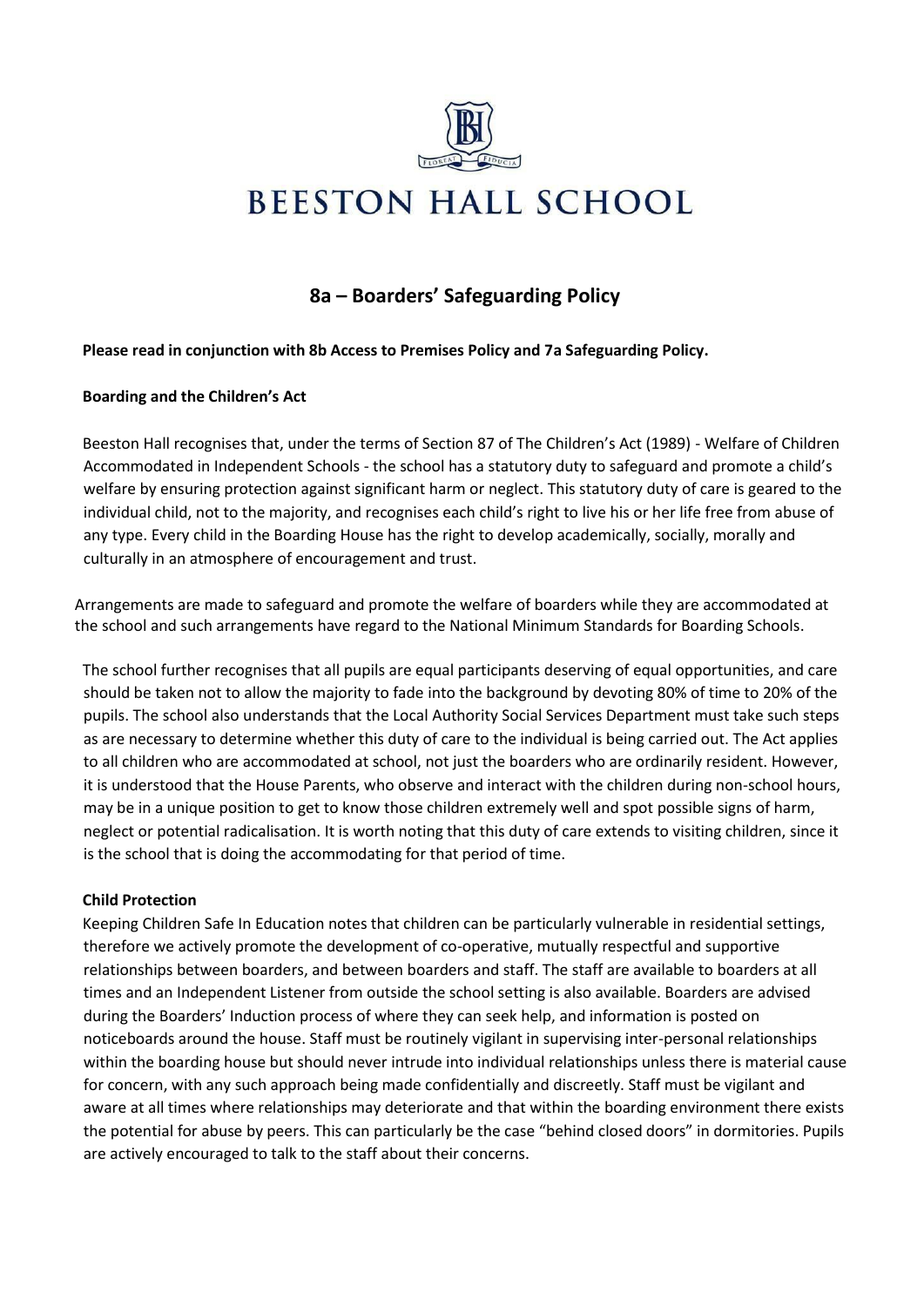

# **8a – Boarders' Safeguarding Policy**

# **Please read in conjunction with 8b Access to Premises Policy and 7a Safeguarding Policy.**

## **Boarding and the Children's Act**

Beeston Hall recognises that, under the terms of Section 87 of The Children's Act (1989) - Welfare of Children Accommodated in Independent Schools - the school has a statutory duty to safeguard and promote a child's welfare by ensuring protection against significant harm or neglect. This statutory duty of care is geared to the individual child, not to the majority, and recognises each child's right to live his or her life free from abuse of any type. Every child in the Boarding House has the right to develop academically, socially, morally and culturally in an atmosphere of encouragement and trust.

Arrangements are made to safeguard and promote the welfare of boarders while they are accommodated at the school and such arrangements have regard to the National Minimum Standards for Boarding Schools.

The school further recognises that all pupils are equal participants deserving of equal opportunities, and care should be taken not to allow the majority to fade into the background by devoting 80% of time to 20% of the pupils. The school also understands that the Local Authority Social Services Department must take such steps as are necessary to determine whether this duty of care to the individual is being carried out. The Act applies to all children who are accommodated at school, not just the boarders who are ordinarily resident. However, it is understood that the House Parents, who observe and interact with the children during non-school hours, may be in a unique position to get to know those children extremely well and spot possible signs of harm, neglect or potential radicalisation. It is worth noting that this duty of care extends to visiting children, since it is the school that is doing the accommodating for that period of time.

#### **Child Protection**

Keeping Children Safe In Education notes that children can be particularly vulnerable in residential settings, therefore we actively promote the development of co-operative, mutually respectful and supportive relationships between boarders, and between boarders and staff. The staff are available to boarders at all times and an Independent Listener from outside the school setting is also available. Boarders are advised during the Boarders' Induction process of where they can seek help, and information is posted on noticeboards around the house. Staff must be routinely vigilant in supervising inter-personal relationships within the boarding house but should never intrude into individual relationships unless there is material cause for concern, with any such approach being made confidentially and discreetly. Staff must be vigilant and aware at all times where relationships may deteriorate and that within the boarding environment there exists the potential for abuse by peers. This can particularly be the case "behind closed doors" in dormitories. Pupils are actively encouraged to talk to the staff about their concerns.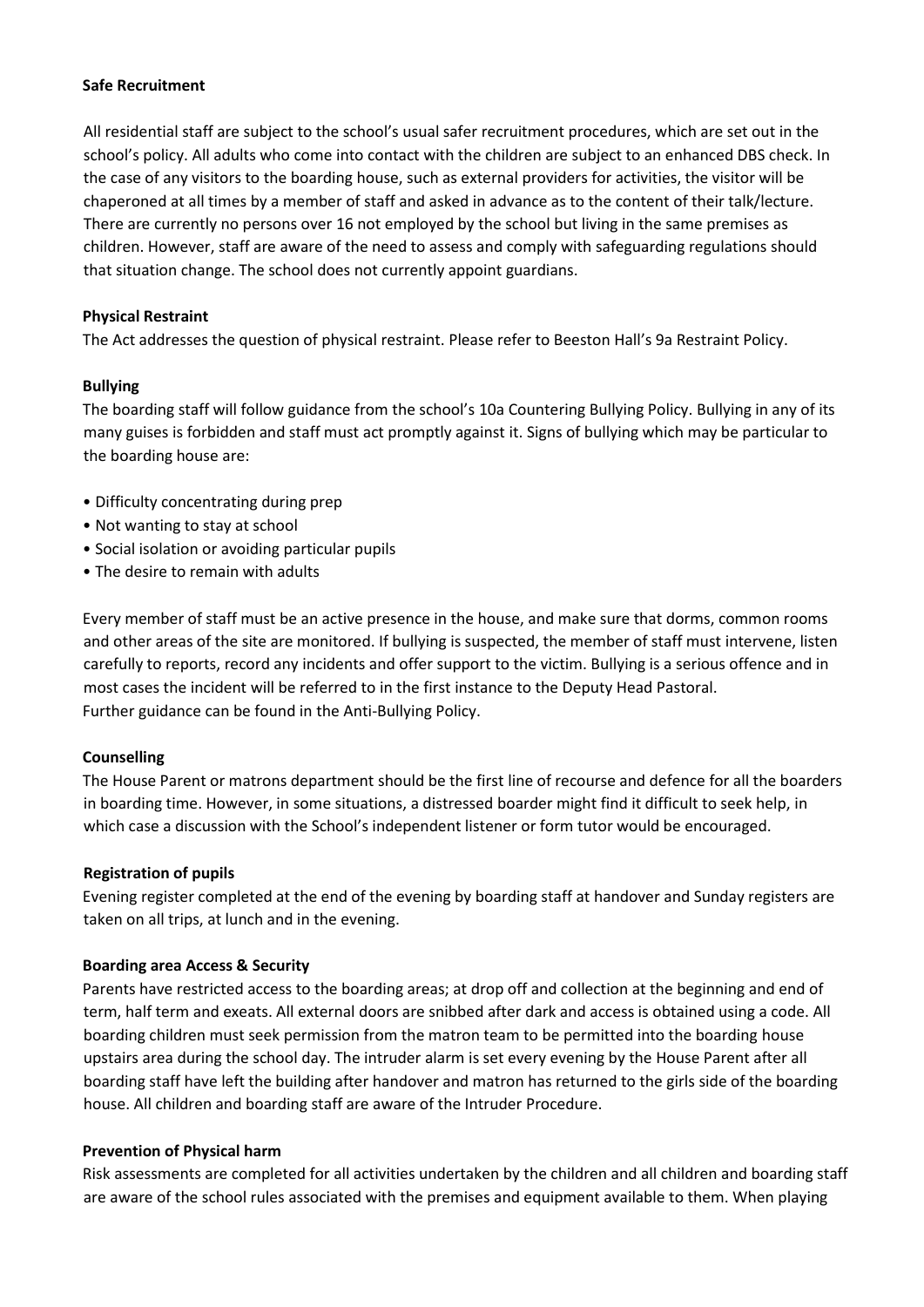#### **Safe Recruitment**

All residential staff are subject to the school's usual safer recruitment procedures, which are set out in the school's policy. All adults who come into contact with the children are subject to an enhanced DBS check. In the case of any visitors to the boarding house, such as external providers for activities, the visitor will be chaperoned at all times by a member of staff and asked in advance as to the content of their talk/lecture. There are currently no persons over 16 not employed by the school but living in the same premises as children. However, staff are aware of the need to assess and comply with safeguarding regulations should that situation change. The school does not currently appoint guardians.

## **Physical Restraint**

The Act addresses the question of physical restraint. Please refer to Beeston Hall's 9a Restraint Policy.

## **Bullying**

The boarding staff will follow guidance from the school's 10a Countering Bullying Policy. Bullying in any of its many guises is forbidden and staff must act promptly against it. Signs of bullying which may be particular to the boarding house are:

- Difficulty concentrating during prep
- Not wanting to stay at school
- Social isolation or avoiding particular pupils
- The desire to remain with adults

Every member of staff must be an active presence in the house, and make sure that dorms, common rooms and other areas of the site are monitored. If bullying is suspected, the member of staff must intervene, listen carefully to reports, record any incidents and offer support to the victim. Bullying is a serious offence and in most cases the incident will be referred to in the first instance to the Deputy Head Pastoral. Further guidance can be found in the Anti-Bullying Policy.

# **Counselling**

The House Parent or matrons department should be the first line of recourse and defence for all the boarders in boarding time. However, in some situations, a distressed boarder might find it difficult to seek help, in which case a discussion with the School's independent listener or form tutor would be encouraged.

#### **Registration of pupils**

Evening register completed at the end of the evening by boarding staff at handover and Sunday registers are taken on all trips, at lunch and in the evening.

# **Boarding area Access & Security**

Parents have restricted access to the boarding areas; at drop off and collection at the beginning and end of term, half term and exeats. All external doors are snibbed after dark and access is obtained using a code. All boarding children must seek permission from the matron team to be permitted into the boarding house upstairs area during the school day. The intruder alarm is set every evening by the House Parent after all boarding staff have left the building after handover and matron has returned to the girls side of the boarding house. All children and boarding staff are aware of the Intruder Procedure.

#### **Prevention of Physical harm**

Risk assessments are completed for all activities undertaken by the children and all children and boarding staff are aware of the school rules associated with the premises and equipment available to them. When playing